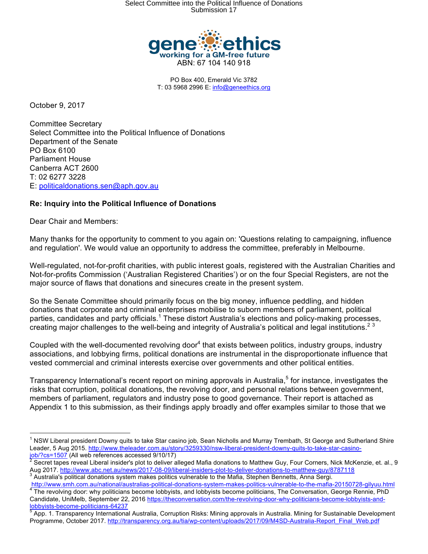

PO Box 400, Emerald Vic 3782 T: 03 5968 2996 E: info@geneethics.org

October 9, 2017

Committee Secretary Select Committee into the Political Influence of Donations Department of the Senate PO Box 6100 Parliament House Canberra ACT 2600 T: 02 6277 3228 E: politicaldonations.sen@aph.gov.au

# **Re: Inquiry into the Political Influence of Donations**

Dear Chair and Members:

Many thanks for the opportunity to comment to you again on: 'Questions relating to campaigning, influence and regulation'. We would value an opportunity to address the committee, preferably in Melbourne.

Well-regulated, not-for-profit charities, with public interest goals, registered with the Australian Charities and Not-for-profits Commission ('Australian Registered Charities') or on the four Special Registers, are not the major source of flaws that donations and sinecures create in the present system.

So the Senate Committee should primarily focus on the big money, influence peddling, and hidden donations that corporate and criminal enterprises mobilise to suborn members of parliament, political parties, candidates and party officials.<sup>1</sup> These distort Australia's elections and policy-making processes, creating major challenges to the well-being and integrity of Australia's political and legal institutions. $2^3$ 

Coupled with the well-documented revolving door $4$  that exists between politics, industry groups, industry associations, and lobbying firms, political donations are instrumental in the disproportionate influence that vested commercial and criminal interests exercise over governments and other political entities.

Transparency International's recent report on mining approvals in Australia,<sup>5</sup> for instance, investigates the risks that corruption, political donations, the revolving door, and personal relations between government, members of parliament, regulators and industry pose to good governance. Their report is attached as Appendix 1 to this submission, as their findings apply broadly and offer examples similar to those that we

 $\frac{1}{1}$  $1$  NSW Liberal president Downy quits to take Star casino job, Sean Nicholls and Murray Trembath, St George and Sutherland Shire Leader, 5 Aug 2015. http://www.theleader.com.au/story/3259330/nsw-liberal-president-downy-quits-to-take-star-casinojob/?cs=1507 (All web references accessed 9/10/17) <sup>2</sup>

Secret tapes reveal Liberal insider's plot to deliver alleged Mafia donations to Matthew Guy, Four Corners, Nick McKenzie, et. al., 9 Aug 2017. <u>http://www.abc.net.au/news/2017-08-09/liberal-insiders-plot-to-deliver-donations-to-matthew-guy/8787118</u><br><sup>3</sup> Australia's political donations system makes politics vulnerable to the Mafia, Stephen Bennetts, Anna

http://www.smh.com.au/national/australias-political-donations-system-makes-politics-vulnerable-to-the-mafia-20150728-gilyuu.html<br>The revolving door: why politicians become lobbyists, and lobbyists become politicians, The C Candidate, UniMelb, September 22, 2016 https://theconversation.com/the-revolving-door-why-politicians-become-lobbyists-andlobbyists-become-politicians-64237

App. 1. Transparency International Australia, Corruption Risks: Mining approvals in Australia. Mining for Sustainable Development Programme, October 2017. http://transparency.org.au/tia/wp-content/uploads/2017/09/M4SD-Australia-Report\_Final\_Web.pdf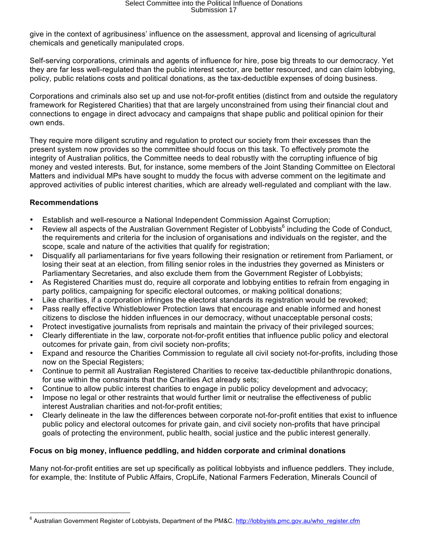give in the context of agribusiness' influence on the assessment, approval and licensing of agricultural chemicals and genetically manipulated crops.

Self-serving corporations, criminals and agents of influence for hire, pose big threats to our democracy. Yet they are far less well-regulated than the public interest sector, are better resourced, and can claim lobbying, policy, public relations costs and political donations, as the tax-deductible expenses of doing business.

Corporations and criminals also set up and use not-for-profit entities (distinct from and outside the regulatory framework for Registered Charities) that that are largely unconstrained from using their financial clout and connections to engage in direct advocacy and campaigns that shape public and political opinion for their own ends.

They require more diligent scrutiny and regulation to protect our society from their excesses than the present system now provides so the committee should focus on this task. To effectively promote the integrity of Australian politics, the Committee needs to deal robustly with the corrupting influence of big money and vested interests. But, for instance, some members of the Joint Standing Committee on Electoral Matters and individual MPs have sought to muddy the focus with adverse comment on the legitimate and approved activities of public interest charities, which are already well-regulated and compliant with the law.

# **Recommendations**

- Establish and well-resource a National Independent Commission Against Corruption;
- Review all aspects of the Australian Government Register of Lobbyists<sup>6</sup> including the Code of Conduct, the requirements and criteria for the inclusion of organisations and individuals on the register, and the scope, scale and nature of the activities that qualify for registration;
- Disqualify all parliamentarians for five years following their resignation or retirement from Parliament, or losing their seat at an election, from filling senior roles in the industries they governed as Ministers or Parliamentary Secretaries, and also exclude them from the Government Register of Lobbyists;
- As Registered Charities must do, require all corporate and lobbying entities to refrain from engaging in party politics, campaigning for specific electoral outcomes, or making political donations;
- Like charities, if a corporation infringes the electoral standards its registration would be revoked;
- Pass really effective Whistleblower Protection laws that encourage and enable informed and honest citizens to disclose the hidden influences in our democracy, without unacceptable personal costs;
- Protect investigative journalists from reprisals and maintain the privacy of their privileged sources;
- Clearly differentiate in the law, corporate not-for-profit entities that influence public policy and electoral outcomes for private gain, from civil society non-profits;
- Expand and resource the Charities Commission to regulate all civil society not-for-profits, including those now on the Special Registers;
- Continue to permit all Australian Registered Charities to receive tax-deductible philanthropic donations, for use within the constraints that the Charities Act already sets;
- Continue to allow public interest charities to engage in public policy development and advocacy;
- Impose no legal or other restraints that would further limit or neutralise the effectiveness of public interest Australian charities and not-for-profit entities;
- Clearly delineate in the law the differences between corporate not-for-profit entities that exist to influence public policy and electoral outcomes for private gain, and civil society non-profits that have principal goals of protecting the environment, public health, social justice and the public interest generally.

## **Focus on big money, influence peddling, and hidden corporate and criminal donations**

Many not-for-profit entities are set up specifically as political lobbyists and influence peddlers. They include, for example, the: Institute of Public Affairs, CropLife, National Farmers Federation, Minerals Council of

<sup>&</sup>lt;sup>6</sup> Australian Government Register of Lobbyists, Department of the PM&C. http://lobbyists.pmc.gov.au/who\_register.cfm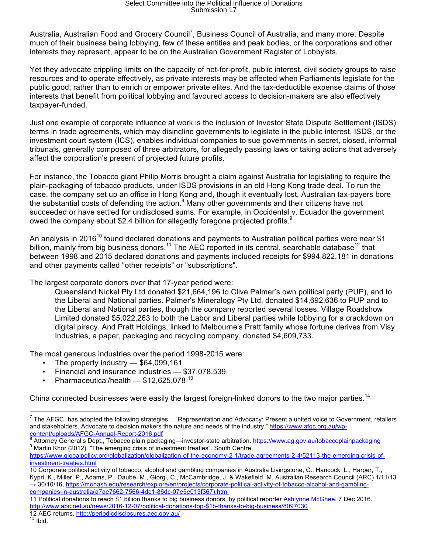Australia, Australian Food and Grocery Council<sup>7</sup>, Business Council of Australia, and many more. Despite much of their business being lobbying, few of these entities and peak bodies, or the corporations and other interests they represent, appear to be on the Australian Government Register of Lobbyists.

Yet they advocate crippling limits on the capacity of not-for-profit, public interest, civil society groups to raise resources and to operate effectively, as private interests may be affected when Parliaments legislate for the public good, rather than to enrich or empower private elites. And the tax-deductible expense claims of those interests that benefit from political lobbying and favoured access to decision-makers are also effectively taxpayer-funded.

Just one example of corporate influence at work is the inclusion of Investor State Dispute Settlement (ISDS) terms in trade agreements, which may disincline governments to legislate in the public interest. ISDS, or the investment court system (ICS), enables individual companies to sue governments in secret, closed, informal tribunals, generally composed of three arbitrators, for allegedly passing laws or taking actions that adversely affect the corporation's present of projected future profits.

For instance, the Tobacco giant Philip Morris brought a claim against Australia for legislating to require the plain-packaging of tobacco products, under ISDS provisions in an old Hong Kong trade deal. To run the case, the company set up an office in Hong Kong and, though it eventually lost, Australian tax-payers bore the substantial costs of defending the action.<sup>8</sup> Many other governments and their citizens have not succeeded or have settled for undisclosed sums. For example, in Occidental v. Ecuador the government owed the company about \$2.4 billion for allegedly foregone projected profits.<sup>9</sup>

An analysis in 2016<sup>10</sup> found declared donations and payments to Australian political parties were near \$1 billion, mainly from big business donors.<sup>11</sup> The AEC reported in its central, searchable database<sup>12</sup> that between 1998 and 2015 declared donations and payments included receipts for \$994,822,181 in donations and other payments called "other receipts" or "subscriptions".

The largest corporate donors over that 17-year period were:

Queensland Nickel Pty Ltd donated \$21,664,196 to Clive Palmer's own political party (PUP), and to the Liberal and National parties. Palmer's Mineralogy Pty Ltd, donated \$14,692,636 to PUP and to the Liberal and National parties, though the company reported several losses. Village Roadshow Limited donated \$5,022,263 to both the Labor and Liberal parties while lobbying for a crackdown on digital piracy. And Pratt Holdings, linked to Melbourne's Pratt family whose fortune derives from Visy Industries, a paper, packaging and recycling company, donated \$4,609,733.

The most generous industries over the period 1998-2015 were:

- The property industry  $-$  \$64,099,161
- Financial and insurance industries \$37,078,539
- Pharmaceutical/health  $-$  \$12,625,078<sup>13</sup>

China connected businesses were easily the largest foreign-linked donors to the two major parties.<sup>14</sup>

<sup>-&</sup>lt;br>7  $^7$  The AFGC "has adopted the following strategies  $...$  Representation and Advocacy: Present a united voice to Government, retailers and stakeholders. Advocate to decision makers the nature and needs of the industry." https://www.afgc.org.au/wpcontent/uploads/AFGC-Annual-Report-2016.pdf

<sup>&</sup>lt;sup>8</sup> Attorney General's Dept., Tobacco plain packaging—investor-state arbitration. <u>https://www.ag.gov.au/tobaccoplainpackaging</u><br><sup>9</sup> Martin Khor (2012). "The emerging crisis of investment treaties". South Centre.

https://www.globalpolicy.org/globalization/globalization-of-the-economy-2-1/trade-agreements-2-4/52113-the-emerging-crisis-ofinvestment-treaties.html

<sup>10</sup> Corporate political activity of tobacco, alcohol and gambling companies in Australia Livingstone, C., Hancock, L., Harper, T., Kypri, K., Miller, P., Adams, P., Daube, M., Giorgi, C., McCambridge, J. & Wakefield, M. Australian Research Council (ARC) 1/11/13 → 30/10/16, https://monash.edu/research/explore/en/projects/corporate-political-activity-of-tobacco-alcohol-and-gamblingcompanies-in-australia(a7ae7662-7566-4dc1-86dc-07e5e013f367).html

<sup>11</sup> Political donations to reach \$1 billion thanks to big business donors, by political reporter Ashlynne McGhee, 7 Dec 2016. http://www.abc.net.au/news/2016-12-07/political-donations-top-\$1b-thanks-to-big-business/8097030

<sup>12</sup> AEC returns. http://periodicdisclosures.aec.gov.au/<br><sup>13</sup> Ibid.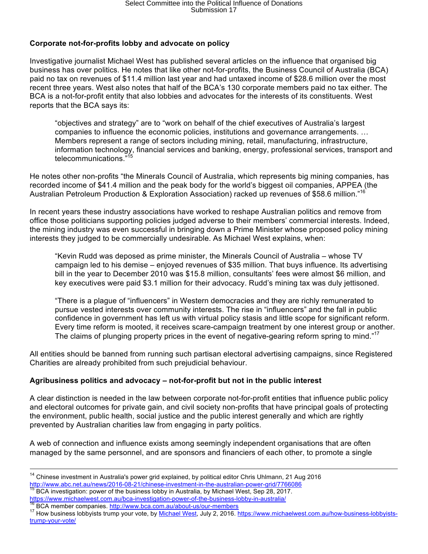# **Corporate not-for-profits lobby and advocate on policy**

Investigative journalist Michael West has published several articles on the influence that organised big business has over politics. He notes that like other not-for-profits, the Business Council of Australia (BCA) paid no tax on revenues of \$11.4 million last year and had untaxed income of \$28.6 million over the most recent three years. West also notes that half of the BCA's 130 corporate members paid no tax either. The BCA is a not-for-profit entity that also lobbies and advocates for the interests of its constituents. West reports that the BCA says its:

"objectives and strategy" are to "work on behalf of the chief executives of Australia's largest companies to influence the economic policies, institutions and governance arrangements. … Members represent a range of sectors including mining, retail, manufacturing, infrastructure, information technology, financial services and banking, energy, professional services, transport and telecommunications."<sup>15</sup>

He notes other non-profits "the Minerals Council of Australia, which represents big mining companies, has recorded income of \$41.4 million and the peak body for the world's biggest oil companies, APPEA (the Australian Petroleum Production & Exploration Association) racked up revenues of \$58.6 million."16

In recent years these industry associations have worked to reshape Australian politics and remove from office those politicians supporting policies judged adverse to their members' commercial interests. Indeed, the mining industry was even successful in bringing down a Prime Minister whose proposed policy mining interests they judged to be commercially undesirable. As Michael West explains, when:

"Kevin Rudd was deposed as prime minister, the Minerals Council of Australia – whose TV campaign led to his demise – enjoyed revenues of \$35 million. That buys influence. Its advertising bill in the year to December 2010 was \$15.8 million, consultants' fees were almost \$6 million, and key executives were paid \$3.1 million for their advocacy. Rudd's mining tax was duly jettisoned.

"There is a plague of "influencers" in Western democracies and they are richly remunerated to pursue vested interests over community interests. The rise in "influencers" and the fall in public confidence in government has left us with virtual policy stasis and little scope for significant reform. Every time reform is mooted, it receives scare-campaign treatment by one interest group or another. The claims of plunging property prices in the event of negative-gearing reform spring to mind."<sup>17</sup>

All entities should be banned from running such partisan electoral advertising campaigns, since Registered Charities are already prohibited from such prejudicial behaviour.

## **Agribusiness politics and advocacy – not-for-profit but not in the public interest**

A clear distinction is needed in the law between corporate not-for-profit entities that influence public policy and electoral outcomes for private gain, and civil society non-profits that have principal goals of protecting the environment, public health, social justice and the public interest generally and which are rightly prevented by Australian charities law from engaging in party politics.

A web of connection and influence exists among seemingly independent organisations that are often managed by the same personnel, and are sponsors and financiers of each other, to promote a single

<sup>&</sup>lt;sup>14</sup> Chinese investment in Australia's power grid explained, by political editor Chris Uhlmann, 21 Aug 2016 http://www.abc.net.au/news/2016-08-21/chinese-investment-in-the-australian-power-grid/7766086<br><sup>15</sup> BCA investigation: power of the business lobby in Australia, by Michael West, Sep 28, 2017.

https://www.michaelwest.com.au/bca-investigation-power-of-the-business-lobby-in-australia/<br><sup>16</sup> BCA member companies. http://www.bca.com.au/about-us/our-members<br><sup>17</sup> How business lobbyists trump your vote, by <u>Michael West</u>

trump-your-vote/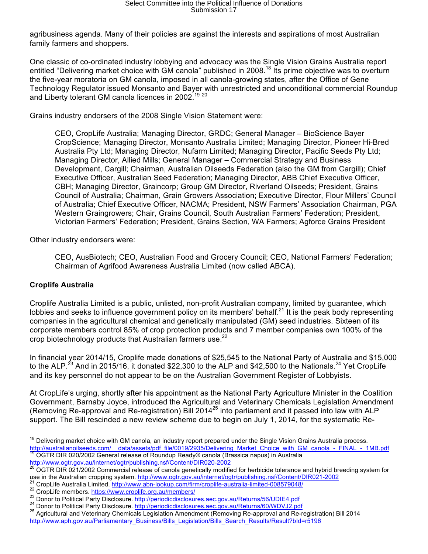agribusiness agenda. Many of their policies are against the interests and aspirations of most Australian family farmers and shoppers.

One classic of co-ordinated industry lobbying and advocacy was the Single Vision Grains Australia report entitled "Delivering market choice with GM canola" published in 2008.<sup>18</sup> Its prime objective was to overturn the five-year moratoria on GM canola, imposed in all canola-growing states, after the Office of Gene Technology Regulator issued Monsanto and Bayer with unrestricted and unconditional commercial Roundup and Liberty tolerant GM canola licences in 2002.<sup>19 20</sup>

Grains industry endorsers of the 2008 Single Vision Statement were:

CEO, CropLife Australia; Managing Director, GRDC; General Manager – BioScience Bayer CropScience; Managing Director, Monsanto Australia Limited; Managing Director, Pioneer Hi-Bred Australia Pty Ltd; Managing Director, Nufarm Limited; Managing Director, Pacific Seeds Pty Ltd; Managing Director, Allied Mills; General Manager – Commercial Strategy and Business Development, Cargill; Chairman, Australian Oilseeds Federation (also the GM from Cargill); Chief Executive Officer, Australian Seed Federation; Managing Director, ABB Chief Executive Officer, CBH; Managing Director, Graincorp; Group GM Director, Riverland Oilseeds; President, Grains Council of Australia; Chairman, Grain Growers Association; Executive Director, Flour Millers' Council of Australia; Chief Executive Officer, NACMA; President, NSW Farmers' Association Chairman, PGA Western Graingrowers; Chair, Grains Council, South Australian Farmers' Federation; President, Victorian Farmers' Federation; President, Grains Section, WA Farmers; Agforce Grains President

Other industry endorsers were:

CEO, AusBiotech; CEO, Australian Food and Grocery Council; CEO, National Farmers' Federation; Chairman of Agrifood Awareness Australia Limited (now called ABCA).

# **Croplife Australia**

Croplife Australia Limited is a public, unlisted, non-profit Australian company, limited by guarantee, which lobbies and seeks to influence government policy on its members' behalf.<sup>21</sup> It is the peak body representing companies in the agricultural chemical and genetically manipulated (GM) seed industries. Sixteen of its corporate members control 85% of crop protection products and 7 member companies own 100% of the crop biotechnology products that Australian farmers use.<sup>22</sup>

In financial year 2014/15, Croplife made donations of \$25,545 to the National Party of Australia and \$15,000 to the ALP.<sup>23</sup> And in 2015/16, it donated \$22,300 to the ALP and \$42,500 to the Nationals.<sup>24</sup> Yet CropLife and its key personnel do not appear to be on the Australian Government Register of Lobbyists.

At CropLife's urging, shortly after his appointment as the National Party Agriculture Minister in the Coalition Government, Barnaby Joyce, introduced the Agricultural and Veterinary Chemicals Legislation Amendment (Removing Re-approval and Re-registration) Bill 2014<sup>25</sup> into parliament and it passed into law with ALP support. The Bill rescinded a new review scheme due to begin on July 1, 2014, for the systematic Re-

<sup>&</sup>lt;sup>18</sup> Delivering market choice with GM canola, an industry report prepared under the Single Vision Grains Australia process. http://australianoilseeds.com/\_\_data/assets/pdf\_file/0019/2935/Delivering\_Market\_Choice\_with\_GM\_canola\_-\_FINAL\_-\_1MB.pdf 19 OGTR DIR 020/2002 General release of Roundup Ready® canola (Brassica napus) in Australia

http://www.ogtr.gov.au/internet/ogtr/publishing.nsf/Content/DIR020-2002<br><sup>20</sup> OGTR DIR 021/2002 Commercial release of canola genetically modified for herbicide tolerance and hybrid breeding system for<br>use in the Australian

<sup>&</sup>lt;sup>21</sup> CropLife Australia Limited. http://www.abn-lookup.com/firm/croplife-australia-limited-008579048/<br><sup>22</sup> CropLife members. https://www.croplife.org.au/members/<br><sup>23</sup> Donor to Political Party Disclosure. http://periodicdis http://www.aph.gov.au/Parliamentary\_Business/Bills\_Legislation/Bills\_Search\_Results/Result?bId=r5196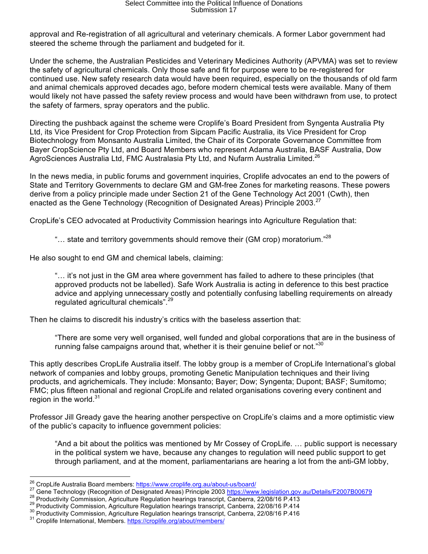approval and Re-registration of all agricultural and veterinary chemicals. A former Labor government had steered the scheme through the parliament and budgeted for it.

Under the scheme, the Australian Pesticides and Veterinary Medicines Authority (APVMA) was set to review the safety of agricultural chemicals. Only those safe and fit for purpose were to be re-registered for continued use. New safety research data would have been required, especially on the thousands of old farm and animal chemicals approved decades ago, before modern chemical tests were available. Many of them would likely not have passed the safety review process and would have been withdrawn from use, to protect the safety of farmers, spray operators and the public.

Directing the pushback against the scheme were Croplife's Board President from Syngenta Australia Pty Ltd, its Vice President for Crop Protection from Sipcam Pacific Australia, its Vice President for Crop Biotechnology from Monsanto Australia Limited, the Chair of its Corporate Governance Committee from Bayer CropScience Pty Ltd, and Board Members who represent Adama Australia, BASF Australia, Dow AgroSciences Australia Ltd, FMC Australasia Pty Ltd, and Nufarm Australia Limited.<sup>26</sup>

In the news media, in public forums and government inquiries, Croplife advocates an end to the powers of State and Territory Governments to declare GM and GM-free Zones for marketing reasons. These powers derive from a policy principle made under Section 21 of the Gene Technology Act 2001 (Cwth), then enacted as the Gene Technology (Recognition of Designated Areas) Principle 2003.<sup>27</sup>

CropLife's CEO advocated at Productivity Commission hearings into Agriculture Regulation that:

"... state and territory governments should remove their (GM crop) moratorium."<sup>28</sup>

He also sought to end GM and chemical labels, claiming:

"… it's not just in the GM area where government has failed to adhere to these principles (that approved products not be labelled). Safe Work Australia is acting in deference to this best practice advice and applying unnecessary costly and potentially confusing labelling requirements on already regulated agricultural chemicals".<sup>29</sup>

Then he claims to discredit his industry's critics with the baseless assertion that:

"There are some very well organised, well funded and global corporations that are in the business of running false campaigns around that, whether it is their genuine belief or not."<sup>30</sup>

This aptly describes CropLife Australia itself. The lobby group is a member of CropLife International's global network of companies and lobby groups, promoting Genetic Manipulation techniques and their living products, and agrichemicals. They include: Monsanto; Bayer; Dow; Syngenta; Dupont; BASF; Sumitomo; FMC; plus fifteen national and regional CropLife and related organisations covering every continent and region in the world. $31$ 

Professor Jill Gready gave the hearing another perspective on CropLife's claims and a more optimistic view of the public's capacity to influence government policies:

"And a bit about the politics was mentioned by Mr Cossey of CropLife. … public support is necessary in the political system we have, because any changes to regulation will need public support to get through parliament, and at the moment, parliamentarians are hearing a lot from the anti-GM lobby,

<sup>&</sup>lt;sup>26</sup> CropLife Australia Board members: https://www.croplife.org.au/about-us/board/<br><sup>27</sup> Gene Technology (Recognition of Designated Areas) Principle 2003 https://www.legislation.gov.au/Details/F2007B00679<br><sup>28</sup> Productivity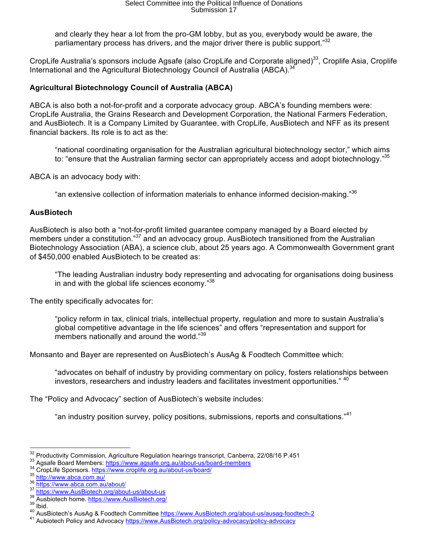and clearly they hear a lot from the pro-GM lobby, but as you, everybody would be aware, the parliamentary process has drivers, and the major driver there is public support.<sup>"32</sup>

CropLife Australia's sponsors include Agsafe (also CropLife and Corporate aligned)<sup>33</sup>, Croplife Asia, Croplife International and the Agricultural Biotechnology Council of Australia (ABCA). $34$ 

# **Agricultural Biotechnology Council of Australia (ABCA)**

ABCA is also both a not-for-profit and a corporate advocacy group. ABCA's founding members were: CropLife Australia, the Grains Research and Development Corporation, the National Farmers Federation, and AusBiotech. It is a Company Limited by Guarantee, with CropLife, AusBiotech and NFF as its present financial backers. Its role is to act as the:

"national coordinating organisation for the Australian agricultural biotechnology sector," which aims to: "ensure that the Australian farming sector can appropriately access and adopt biotechnology."35

ABCA is an advocacy body with:

"an extensive collection of information materials to enhance informed decision-making."<sup>36</sup>

#### **AusBiotech**

AusBiotech is also both a "not-for-profit limited guarantee company managed by a Board elected by members under a constitution."<sup>37</sup> and an advocacy group. AusBiotech transitioned from the Australian Biotechnology Association (ABA), a science club, about 25 years ago. A Commonwealth Government grant of \$450,000 enabled AusBiotech to be created as:

"The leading Australian industry body representing and advocating for organisations doing business in and with the global life sciences economy."<sup>38</sup>

The entity specifically advocates for:

"policy reform in tax, clinical trials, intellectual property, regulation and more to sustain Australia's global competitive advantage in the life sciences" and offers "representation and support for members nationally and around the world."<sup>39</sup>

Monsanto and Bayer are represented on AusBiotech's AusAg & Foodtech Committee which:

"advocates on behalf of industry by providing commentary on policy, fosters relationships between investors, researchers and industry leaders and facilitates investment opportunities." 40

The "Policy and Advocacy" section of AusBiotech's website includes:

"an industry position survey, policy positions, submissions, reports and consultations."<sup>41</sup>

<sup>&</sup>lt;sup>32</sup> Productivity Commission, Agriculture Regulation hearings transcript, Canberra, 22/08/16 P.451<br><sup>33</sup> Agsafe Board Members: https://www.agsafe.org.au/about-us/board-members<br><sup>34</sup> CropLife Sponsors. https://www.croplife.or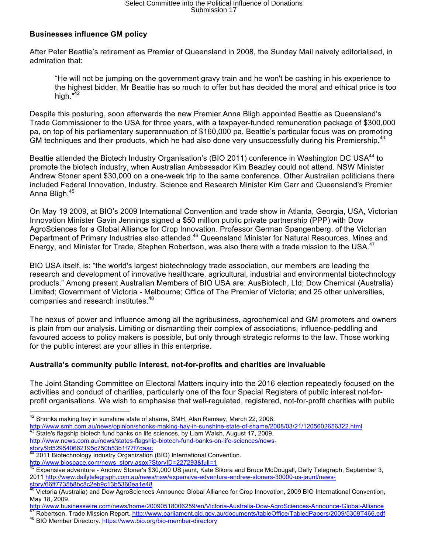# Select Committee into the Political Influence of Donations Submission 17

## **Businesses influence GM policy**

After Peter Beattie's retirement as Premier of Queensland in 2008, the Sunday Mail naively editorialised, in admiration that:

"He will not be jumping on the government gravy train and he won't be cashing in his experience to the highest bidder. Mr Beattie has so much to offer but has decided the moral and ethical price is too high. $^{\sqrt{42}}$ 

Despite this posturing, soon afterwards the new Premier Anna Bligh appointed Beattie as Queensland's Trade Commissioner to the USA for three years, with a taxpayer-funded remuneration package of \$300,000 pa, on top of his parliamentary superannuation of \$160,000 pa. Beattie's particular focus was on promoting GM techniques and their products, which he had also done very unsuccessfully during his Premiership.<sup>43</sup>

Beattie attended the Biotech Industry Organisation's (BIO 2011) conference in Washington DC USA<sup>44</sup> to promote the biotech industry, when Australian Ambassador Kim Beazley could not attend. NSW Minister Andrew Stoner spent \$30,000 on a one-week trip to the same conference. Other Australian politicians there included Federal Innovation, Industry, Science and Research Minister Kim Carr and Queensland's Premier Anna Bligh.<sup>45</sup>

On May 19 2009, at BIO's 2009 International Convention and trade show in Atlanta, Georgia, USA, Victorian Innovation Minister Gavin Jennings signed a \$50 million public private partnership (PPP) with Dow AgroSciences for a Global Alliance for Crop Innovation. Professor German Spangenberg, of the Victorian Department of Primary Industries also attended.<sup>46</sup> Queensland Minister for Natural Resources, Mines and Energy, and Minister for Trade, Stephen Robertson, was also there with a trade mission to the USA.<sup>47</sup>

BIO USA itself, is: "the world's largest biotechnology trade association, our members are leading the research and development of innovative healthcare, agricultural, industrial and environmental biotechnology products." Among present Australian Members of BIO USA are: AusBiotech, Ltd; Dow Chemical (Australia) Limited; Government of Victoria - Melbourne; Office of The Premier of Victoria; and 25 other universities, companies and research institutes.<sup>48</sup>

The nexus of power and influence among all the agribusiness, agrochemical and GM promoters and owners is plain from our analysis. Limiting or dismantling their complex of associations, influence-peddling and favoured access to policy makers is possible, but only through strategic reforms to the law. Those working for the public interest are your allies in this enterprise.

## **Australia's community public interest, not-for-profits and charities are invaluable**

The Joint Standing Committee on Electoral Matters inquiry into the 2016 election repeatedly focused on the activities and conduct of charities, particularly one of the four Special Registers of public interest not-forprofit organisations. We wish to emphasise that well-regulated, registered, not-for-profit charities with public

http://www.news.com.au/news/states-flagship-biotech-fund-banks-on-life-sciences/news-<u>story/9d529540662195c750b53b1f77f7daac</u><br><sup>44</sup> 2011 Pictochust

 $42$  Shonks making hay in sunshine state of shame, SMH, Alan Ramsey, March 22, 2008.

http://www.smh.com.au/news/opinion/shonks-making-hay-in-sunshine-state-of-shame/2008/03/21/1205602656322.html<br><sup>43</sup> State's flagship biotech fund banks on life sciences, by Liam Walsh, August 17, 2009.

<sup>2011</sup> Biotechnology Industry Organization (BIO) International Convention.

http://www.biospace.com/news\_story.aspx?StoryID=227293&full=1

<sup>45</sup> Expensive adventure - Andrew Stoner's \$30,000 US jaunt, Kate Sikora and Bruce McDougall, Daily Telegraph, September 3, 2011 http://www.dailytelegraph.com.au/news/nsw/expensive-adventure-andrew-stoners-30000-us-jaunt/newsstory/66ff7735b8bc8c2eb9c13b5360ea1e48

<sup>46</sup> Victoria (Australia) and Dow AgroSciences Announce Global Alliance for Crop Innovation, 2009 BIO International Convention, May 18, 2009.

http://www.businesswire.com/news/home/20090518006259/en/Victoria-Australia-Dow-AgroSciences-Announce-Global-Alliance<br><sup>47</sup> Robertson, Trade Mission Report. http://www.parliament.qld.gov.au/documents/tableOffice/TabledPapers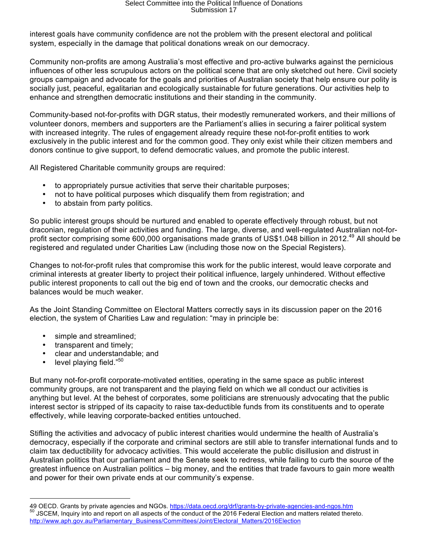interest goals have community confidence are not the problem with the present electoral and political system, especially in the damage that political donations wreak on our democracy.

Community non-profits are among Australia's most effective and pro-active bulwarks against the pernicious influences of other less scrupulous actors on the political scene that are only sketched out here. Civil society groups campaign and advocate for the goals and priorities of Australian society that help ensure our polity is socially just, peaceful, egalitarian and ecologically sustainable for future generations. Our activities help to enhance and strengthen democratic institutions and their standing in the community.

Community-based not-for-profits with DGR status, their modestly remunerated workers, and their millions of volunteer donors, members and supporters are the Parliament's allies in securing a fairer political system with increased integrity. The rules of engagement already require these not-for-profit entities to work exclusively in the public interest and for the common good. They only exist while their citizen members and donors continue to give support, to defend democratic values, and promote the public interest.

All Registered Charitable community groups are required:

- to appropriately pursue activities that serve their charitable purposes;
- not to have political purposes which disqualify them from registration; and <br>• to abstain from party politics
- to abstain from party politics.

So public interest groups should be nurtured and enabled to operate effectively through robust, but not draconian, regulation of their activities and funding. The large, diverse, and well-regulated Australian not-forprofit sector comprising some 600,000 organisations made grants of US\$1.048 billion in 2012.<sup>49</sup> All should be registered and regulated under Charities Law (including those now on the Special Registers).

Changes to not-for-profit rules that compromise this work for the public interest, would leave corporate and criminal interests at greater liberty to project their political influence, largely unhindered. Without effective public interest proponents to call out the big end of town and the crooks, our democratic checks and balances would be much weaker.

As the Joint Standing Committee on Electoral Matters correctly says in its discussion paper on the 2016 election, the system of Charities Law and regulation: "may in principle be:

- simple and streamlined;
- transparent and timely;
- clear and understandable; and
- level playing field."<sup>50</sup>

 $\overline{a}$ 

But many not-for-profit corporate-motivated entities, operating in the same space as public interest community groups, are not transparent and the playing field on which we all conduct our activities is anything but level. At the behest of corporates, some politicians are strenuously advocating that the public interest sector is stripped of its capacity to raise tax-deductible funds from its constituents and to operate effectively, while leaving corporate-backed entities untouched.

Stifling the activities and advocacy of public interest charities would undermine the health of Australia's democracy, especially if the corporate and criminal sectors are still able to transfer international funds and to claim tax deductibility for advocacy activities. This would accelerate the public disillusion and distrust in Australian politics that our parliament and the Senate seek to redress, while failing to curb the source of the greatest influence on Australian politics – big money, and the entities that trade favours to gain more wealth and power for their own private ends at our community's expense.

<sup>49</sup> OECD. Grants by private agencies and NGOs. https://data.oecd.org/drf/grants-by-private-agencies-and-ngos.htm<br><sup>50</sup> JSCEM, Inquiry into and report on all aspects of the conduct of the 2016 Federal Election and matters rel http://www.aph.gov.au/Parliamentary\_Business/Committees/Joint/Electoral\_Matters/2016Election